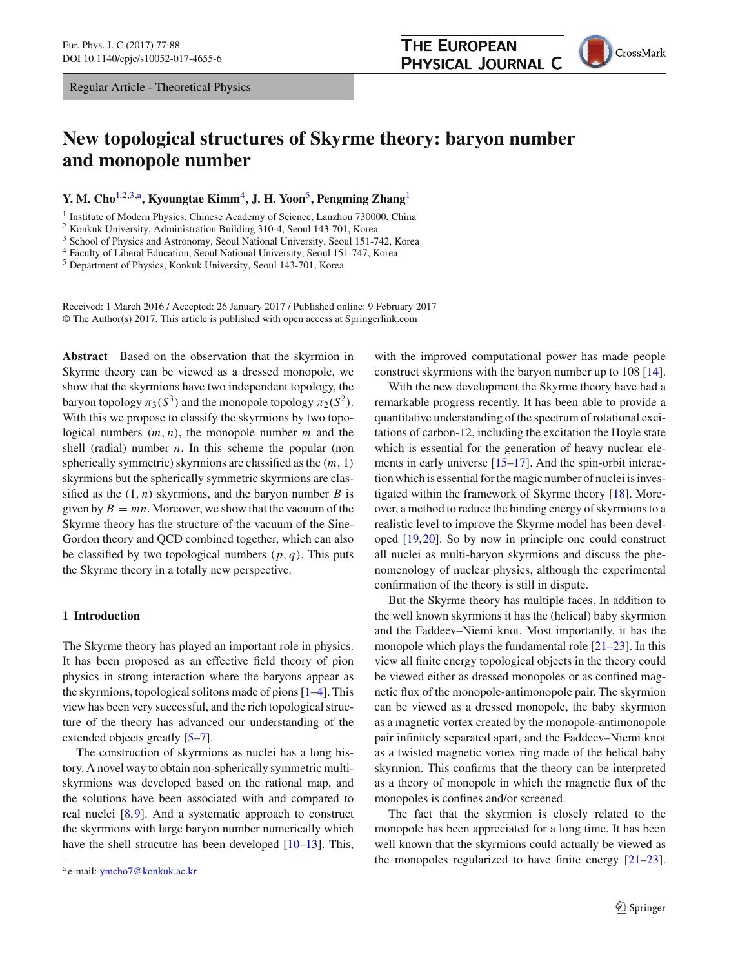Regular Article - Theoretical Physics

# **New topological structures of Skyrme theory: baryon number and monopole number**

**Y. M. Cho**[1,2](#page-0-0)[,3,](#page-0-1)a**, Kyoungtae Kimm**[4](#page-0-2)**, J. H. Yoon**[5](#page-0-3)**, Pengming Zhang**[1](#page-0-0)

<sup>1</sup> Institute of Modern Physics, Chinese Academy of Science, Lanzhou 730000, China

<sup>2</sup> Konkuk University, Administration Building 310-4, Seoul 143-701, Korea

<sup>3</sup> School of Physics and Astronomy, Seoul National University, Seoul 151-742, Korea

<sup>4</sup> Faculty of Liberal Education, Seoul National University, Seoul 151-747, Korea

<sup>5</sup> Department of Physics, Konkuk University, Seoul 143-701, Korea

Received: 1 March 2016 / Accepted: 26 January 2017 / Published online: 9 February 2017 © The Author(s) 2017. This article is published with open access at Springerlink.com

**Abstract** Based on the observation that the skyrmion in Skyrme theory can be viewed as a dressed monopole, we show that the skyrmions have two independent topology, the baryon topology  $\pi_3(S^3)$  and the monopole topology  $\pi_2(S^2)$ . With this we propose to classify the skyrmions by two topological numbers (*m*, *n*), the monopole number *m* and the shell (radial) number *n*. In this scheme the popular (non spherically symmetric) skyrmions are classified as the (*m*, 1) skyrmions but the spherically symmetric skyrmions are classified as the  $(1, n)$  skyrmions, and the baryon number *B* is given by  $B = mn$ . Moreover, we show that the vacuum of the Skyrme theory has the structure of the vacuum of the Sine-Gordon theory and QCD combined together, which can also be classified by two topological numbers  $(p, q)$ . This puts the Skyrme theory in a totally new perspective.

## **1 Introduction**

The Skyrme theory has played an important role in physics. It has been proposed as an effective field theory of pion physics in strong interaction where the baryons appear as the skyrmions, topological solitons made of pions [\[1](#page-7-0)[–4](#page-7-1)]. This view has been very successful, and the rich topological structure of the theory has advanced our understanding of the extended objects greatly [\[5](#page-7-2)[–7](#page-7-3)].

The construction of skyrmions as nuclei has a long history. A novel way to obtain non-spherically symmetric multiskyrmions was developed based on the rational map, and the solutions have been associated with and compared to real nuclei [\[8,](#page-7-4)[9\]](#page-7-5). And a systematic approach to construct the skyrmions with large baryon number numerically which have the shell strucutre has been developed [\[10](#page-7-6)[–13\]](#page-7-7). This, <span id="page-0-3"></span><span id="page-0-2"></span><span id="page-0-1"></span><span id="page-0-0"></span>with the improved computational power has made people construct skyrmions with the baryon number up to 108 [\[14](#page-7-8)].

With the new development the Skyrme theory have had a remarkable progress recently. It has been able to provide a quantitative understanding of the spectrum of rotational excitations of carbon-12, including the excitation the Hoyle state which is essential for the generation of heavy nuclear ele-ments in early universe [\[15](#page-7-9)[–17\]](#page-7-10). And the spin-orbit interaction which is essential for the magic number of nuclei is investigated within the framework of Skyrme theory [\[18\]](#page-7-11). Moreover, a method to reduce the binding energy of skyrmions to a realistic level to improve the Skyrme model has been developed [\[19](#page-7-12),[20\]](#page-7-13). So by now in principle one could construct all nuclei as multi-baryon skyrmions and discuss the phenomenology of nuclear physics, although the experimental confirmation of the theory is still in dispute.

But the Skyrme theory has multiple faces. In addition to the well known skyrmions it has the (helical) baby skyrmion and the Faddeev–Niemi knot. Most importantly, it has the monopole which plays the fundamental role  $[21-23]$  $[21-23]$ . In this view all finite energy topological objects in the theory could be viewed either as dressed monopoles or as confined magnetic flux of the monopole-antimonopole pair. The skyrmion can be viewed as a dressed monopole, the baby skyrmion as a magnetic vortex created by the monopole-antimonopole pair infinitely separated apart, and the Faddeev–Niemi knot as a twisted magnetic vortex ring made of the helical baby skyrmion. This confirms that the theory can be interpreted as a theory of monopole in which the magnetic flux of the monopoles is confines and/or screened.

The fact that the skyrmion is closely related to the monopole has been appreciated for a long time. It has been well known that the skyrmions could actually be viewed as the monopoles regularized to have finite energy  $[21-23]$  $[21-23]$ .





<sup>a</sup> e-mail: [ymcho7@konkuk.ac.kr](mailto:ymcho7@konkuk.ac.kr)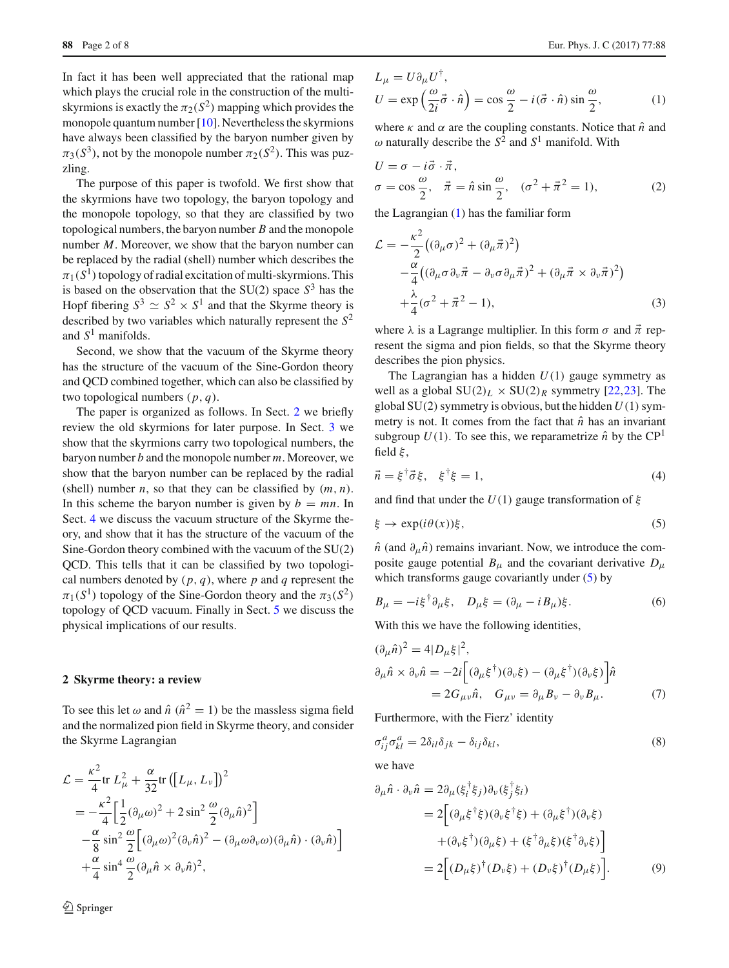In fact it has been well appreciated that the rational map which plays the crucial role in the construction of the multiskyrmions is exactly the  $\pi_2(S^2)$  mapping which provides the monopole quantum number  $[10]$  $[10]$ . Nevertheless the skyrmions have always been classified by the baryon number given by  $\pi_3(S^3)$ , not by the monopole number  $\pi_2(S^2)$ . This was puzzling.

The purpose of this paper is twofold. We first show that the skyrmions have two topology, the baryon topology and the monopole topology, so that they are classified by two topological numbers, the baryon number *B* and the monopole number *M*. Moreover, we show that the baryon number can be replaced by the radial (shell) number which describes the  $\pi_1(S^1)$  topology of radial excitation of multi-skyrmions. This is based on the observation that the  $SU(2)$  space  $S<sup>3</sup>$  has the Hopf fibering  $S^3 \simeq S^2 \times S^1$  and that the Skyrme theory is described by two variables which naturally represent the *S*<sup>2</sup> and  $S<sup>1</sup>$  manifolds.

Second, we show that the vacuum of the Skyrme theory has the structure of the vacuum of the Sine-Gordon theory and QCD combined together, which can also be classified by two topological numbers (*p*, *q*).

The paper is organized as follows. In Sect. [2](#page-1-0) we briefly review the old skyrmions for later purpose. In Sect. [3](#page-3-0) we show that the skyrmions carry two topological numbers, the baryon number *b* and the monopole number *m*. Moreover, we show that the baryon number can be replaced by the radial (shell) number *n*, so that they can be classified by  $(m, n)$ . In this scheme the baryon number is given by  $b = mn$ . In Sect. [4](#page-5-0) we discuss the vacuum structure of the Skyrme theory, and show that it has the structure of the vacuum of the Sine-Gordon theory combined with the vacuum of the SU(2) QCD. This tells that it can be classified by two topological numbers denoted by  $(p, q)$ , where p and q represent the  $\pi_1(S^1)$  topology of the Sine-Gordon theory and the  $\pi_3(S^2)$ topology of QCD vacuum. Finally in Sect. [5](#page-6-0) we discuss the physical implications of our results.

## <span id="page-1-0"></span>**2 Skyrme theory: a review**

To see this let  $\omega$  and  $\hat{n}$  ( $\hat{n}^2 = 1$ ) be the massless sigma field and the normalized pion field in Skyrme theory, and consider the Skyrme Lagrangian

<span id="page-1-1"></span>
$$
\mathcal{L} = \frac{\kappa^2}{4} \text{tr} \ L_{\mu}^2 + \frac{\alpha}{32} \text{tr} \left( \left[ L_{\mu}, L_{\nu} \right] \right)^2
$$
  
\n
$$
= -\frac{\kappa^2}{4} \left[ \frac{1}{2} (\partial_{\mu} \omega)^2 + 2 \sin^2 \frac{\omega}{2} (\partial_{\mu} \hat{n})^2 \right]
$$
  
\n
$$
- \frac{\alpha}{8} \sin^2 \frac{\omega}{2} \left[ (\partial_{\mu} \omega)^2 (\partial_{\nu} \hat{n})^2 - (\partial_{\mu} \omega \partial_{\nu} \omega) (\partial_{\mu} \hat{n}) \cdot (\partial_{\nu} \hat{n}) \right]
$$
  
\n
$$
+ \frac{\alpha}{4} \sin^4 \frac{\omega}{2} (\partial_{\mu} \hat{n} \times \partial_{\nu} \hat{n})^2,
$$

$$
L_{\mu} = U \partial_{\mu} U^{\dagger},
$$
  
\n
$$
U = \exp\left(\frac{\omega}{2i}\vec{\sigma} \cdot \hat{n}\right) = \cos\frac{\omega}{2} - i(\vec{\sigma} \cdot \hat{n})\sin\frac{\omega}{2},
$$
\n(1)

where  $\kappa$  and  $\alpha$  are the coupling constants. Notice that  $\hat{n}$  and  $\omega$  naturally describe the  $S^2$  and  $S^1$  manifold. With

$$
U = \sigma - i\vec{\sigma} \cdot \vec{\pi},
$$
  
\n
$$
\sigma = \cos \frac{\omega}{2}, \quad \vec{\pi} = \hat{n} \sin \frac{\omega}{2}, \quad (\sigma^2 + \vec{\pi}^2 = 1),
$$
\n(2)

the Lagrangian [\(1\)](#page-1-1) has the familiar form

*<sup>L</sup>*<sup>μ</sup> <sup>=</sup> *<sup>U</sup>*∂μ*U*†,

$$
\mathcal{L} = -\frac{\kappa^2}{2} \left( (\partial_{\mu}\sigma)^2 + (\partial_{\mu}\vec{\pi})^2 \right) \n- \frac{\alpha}{4} \left( (\partial_{\mu}\sigma \partial_{\nu}\vec{\pi} - \partial_{\nu}\sigma \partial_{\mu}\vec{\pi})^2 + (\partial_{\mu}\vec{\pi} \times \partial_{\nu}\vec{\pi})^2 \right) \n+ \frac{\lambda}{4} (\sigma^2 + \vec{\pi}^2 - 1),
$$
\n(3)

where  $\lambda$  is a Lagrange multiplier. In this form  $\sigma$  and  $\vec{\pi}$  represent the sigma and pion fields, so that the Skyrme theory describes the pion physics.

The Lagrangian has a hidden *U*(1) gauge symmetry as well as a global  $SU(2)_L \times SU(2)_R$  symmetry [\[22](#page-7-16)[,23](#page-7-15)]. The global  $SU(2)$  symmetry is obvious, but the hidden  $U(1)$  symmetry is not. It comes from the fact that  $\hat{n}$  has an invariant subgroup  $U(1)$ . To see this, we reparametrize  $\hat{n}$  by the CP<sup>1</sup> field  $\xi$ ,

$$
\vec{n} = \xi^{\dagger} \vec{\sigma} \xi, \quad \xi^{\dagger} \xi = 1,\tag{4}
$$

and find that under the  $U(1)$  gauge transformation of  $\xi$ 

<span id="page-1-2"></span>
$$
\xi \to \exp(i\theta(x))\xi,\tag{5}
$$

 $\hat{n}$  (and  $\partial_{\mu}\hat{n}$ ) remains invariant. Now, we introduce the composite gauge potential  $B_{\mu}$  and the covariant derivative  $D_{\mu}$ which transforms gauge covariantly under [\(5\)](#page-1-2) by

$$
B_{\mu} = -i\xi^{\dagger}\partial_{\mu}\xi, \quad D_{\mu}\xi = (\partial_{\mu} - iB_{\mu})\xi. \tag{6}
$$

With this we have the following identities,

$$
(\partial_{\mu}\hat{n})^2 = 4|D_{\mu}\xi|^2,
$$
  
\n
$$
\partial_{\mu}\hat{n} \times \partial_{\nu}\hat{n} = -2i \left[ (\partial_{\mu}\xi^{\dagger})(\partial_{\nu}\xi) - (\partial_{\mu}\xi^{\dagger})(\partial_{\nu}\xi) \right] \hat{n}
$$
  
\n
$$
= 2G_{\mu\nu}\hat{n}, \quad G_{\mu\nu} = \partial_{\mu}B_{\nu} - \partial_{\nu}B_{\mu}.
$$
 (7)

Furthermore, with the Fierz' identity

$$
\sigma_{ij}^a \sigma_{kl}^a = 2\delta_{il}\delta_{jk} - \delta_{ij}\delta_{kl},\tag{8}
$$

we have

$$
\partial_{\mu}\hat{n} \cdot \partial_{\nu}\hat{n} = 2\partial_{\mu}(\xi_{i}^{\dagger}\xi_{j})\partial_{\nu}(\xi_{j}^{\dagger}\xi_{i})
$$
  
\n
$$
= 2\left[ (\partial_{\mu}\xi^{\dagger}\xi)(\partial_{\nu}\xi^{\dagger}\xi) + (\partial_{\mu}\xi^{\dagger})(\partial_{\nu}\xi) + (\partial_{\nu}\xi^{\dagger})(\partial_{\nu}\xi) + (\partial_{\nu}\xi^{\dagger})(\partial_{\mu}\xi) + (\xi^{\dagger}\partial_{\mu}\xi)(\xi^{\dagger}\partial_{\nu}\xi) \right]
$$
  
\n
$$
= 2\left[ (D_{\mu}\xi)^{\dagger}(D_{\nu}\xi) + (D_{\nu}\xi)^{\dagger}(D_{\mu}\xi) \right].
$$
 (9)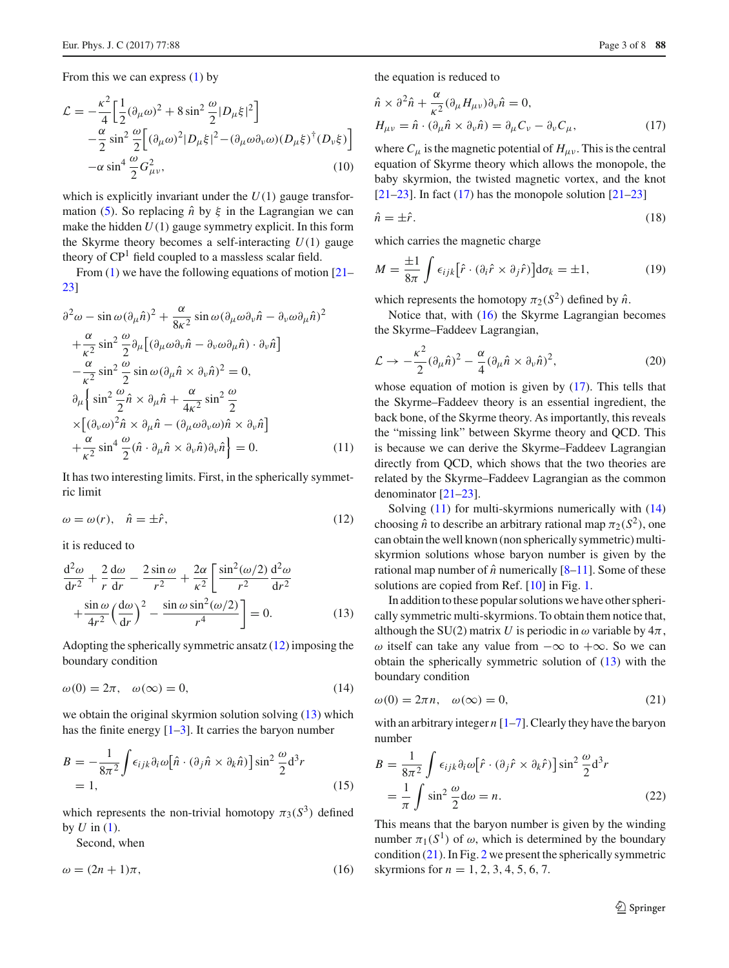From this we can express  $(1)$  by

$$
\mathcal{L} = -\frac{\kappa^2}{4} \left[ \frac{1}{2} (\partial_\mu \omega)^2 + 8 \sin^2 \frac{\omega}{2} |D_\mu \xi|^2 \right] \n- \frac{\alpha}{2} \sin^2 \frac{\omega}{2} \left[ (\partial_\mu \omega)^2 |D_\mu \xi|^2 - (\partial_\mu \omega \partial_\nu \omega) (D_\mu \xi)^{\dagger} (D_\nu \xi) \right] \n- \alpha \sin^4 \frac{\omega}{2} G_{\mu\nu}^2,
$$
\n(10)

which is explicitly invariant under the  $U(1)$  gauge transfor-mation [\(5\)](#page-1-2). So replacing  $\hat{n}$  by  $\xi$  in the Lagrangian we can make the hidden  $U(1)$  gauge symmetry explicit. In this form the Skyrme theory becomes a self-interacting *U*(1) gauge theory of  $\mathbb{CP}^1$  field coupled to a massless scalar field.

From  $(1)$  we have the following equations of motion  $[21 [21-$ [23\]](#page-7-15)

<span id="page-2-4"></span>
$$
\partial^2 \omega - \sin \omega (\partial_\mu \hat{n})^2 + \frac{\alpha}{8\kappa^2} \sin \omega (\partial_\mu \omega \partial_\nu \hat{n} - \partial_\nu \omega \partial_\mu \hat{n})^2 \n+ \frac{\alpha}{\kappa^2} \sin^2 \frac{\omega}{2} \partial_\mu [(\partial_\mu \omega \partial_\nu \hat{n} - \partial_\nu \omega \partial_\mu \hat{n}) \cdot \partial_\nu \hat{n}] \n- \frac{\alpha}{\kappa^2} \sin^2 \frac{\omega}{2} \sin \omega (\partial_\mu \hat{n} \times \partial_\nu \hat{n})^2 = 0, \n\partial_\mu \left\{ \sin^2 \frac{\omega}{2} \hat{n} \times \partial_\mu \hat{n} + \frac{\alpha}{4\kappa^2} \sin^2 \frac{\omega}{2} \times [(\partial_\nu \omega)^2 \hat{n} \times \partial_\mu \hat{n} - (\partial_\mu \omega \partial_\nu \omega) \hat{n} \times \partial_\nu \hat{n}] \right. \n+ \frac{\alpha}{\kappa^2} \sin^4 \frac{\omega}{2} (\hat{n} \cdot \partial_\mu \hat{n} \times \partial_\nu \hat{n}) \partial_\nu \hat{n} \right\} = 0.
$$
\n(11)

It has two interesting limits. First, in the spherically symmetric limit

<span id="page-2-0"></span>
$$
\omega = \omega(r), \quad \hat{n} = \pm \hat{r}, \tag{12}
$$

it is reduced to

<span id="page-2-1"></span>
$$
\frac{d^2\omega}{dr^2} + \frac{2}{r}\frac{d\omega}{dr} - \frac{2\sin\omega}{r^2} + \frac{2\alpha}{\kappa^2} \left[ \frac{\sin^2(\omega/2)}{r^2} \frac{d^2\omega}{dr^2} + \frac{\sin\omega}{4r^2} \left( \frac{d\omega}{dr} \right)^2 - \frac{\sin\omega\sin^2(\omega/2)}{r^4} \right] = 0.
$$
 (13)

Adopting the spherically symmetric ansatz  $(12)$  imposing the boundary condition

<span id="page-2-5"></span>
$$
\omega(0) = 2\pi, \quad \omega(\infty) = 0,\tag{14}
$$

we obtain the original skyrmion solution solving [\(13\)](#page-2-1) which has the finite energy  $[1-3]$  $[1-3]$ . It carries the baryon number

$$
B = -\frac{1}{8\pi^2} \int \epsilon_{ijk} \partial_i \omega \left[ \hat{n} \cdot (\partial_j \hat{n} \times \partial_k \hat{n}) \right] \sin^2 \frac{\omega}{2} d^3 r
$$
  
= 1, (15)

which represents the non-trivial homotopy  $\pi_3(S^3)$  defined by  $U$  in  $(1)$ .

Second, when

<span id="page-2-3"></span>
$$
\omega = (2n + 1)\pi,\tag{16}
$$

the equation is reduced to

<span id="page-2-2"></span>
$$
\hat{n} \times \partial^2 \hat{n} + \frac{\alpha}{\kappa^2} (\partial_\mu H_{\mu\nu}) \partial_\nu \hat{n} = 0,
$$
  
\n
$$
H_{\mu\nu} = \hat{n} \cdot (\partial_\mu \hat{n} \times \partial_\nu \hat{n}) = \partial_\mu C_\nu - \partial_\nu C_\mu,
$$
\n(17)

where  $C_{\mu}$  is the magnetic potential of  $H_{\mu\nu}$ . This is the central equation of Skyrme theory which allows the monopole, the baby skyrmion, the twisted magnetic vortex, and the knot [\[21](#page-7-14)[–23](#page-7-15)]. In fact  $(17)$  has the monopole solution  $[21-23]$ ]

$$
\hat{n} = \pm \hat{r}.\tag{18}
$$

which carries the magnetic charge

$$
M = \frac{\pm 1}{8\pi} \int \epsilon_{ijk} [\hat{r} \cdot (\partial_i \hat{r} \times \partial_j \hat{r})] d\sigma_k = \pm 1, \qquad (19)
$$

which represents the homotopy  $\pi_2(S^2)$  defined by  $\hat{n}$ .

Notice that, with [\(16\)](#page-2-3) the Skyrme Lagrangian becomes the Skyrme–Faddeev Lagrangian,

$$
\mathcal{L} \to -\frac{\kappa^2}{2} (\partial_\mu \hat{n})^2 - \frac{\alpha}{4} (\partial_\mu \hat{n} \times \partial_\nu \hat{n})^2, \tag{20}
$$

whose equation of motion is given by [\(17\)](#page-2-2). This tells that the Skyrme–Faddeev theory is an essential ingredient, the back bone, of the Skyrme theory. As importantly, this reveals the "missing link" between Skyrme theory and QCD. This is because we can derive the Skyrme–Faddeev Lagrangian directly from QCD, which shows that the two theories are related by the Skyrme–Faddeev Lagrangian as the common denominator [\[21](#page-7-14)[–23](#page-7-15)].

Solving [\(11\)](#page-2-4) for multi-skyrmions numerically with [\(14\)](#page-2-5) choosing  $\hat{n}$  to describe an arbitrary rational map  $\pi_2(S^2)$ , one can obtain the well known (non spherically symmetric) multiskyrmion solutions whose baryon number is given by the rational map number of  $\hat{n}$  numerically  $[8-11]$  $[8-11]$ . Some of these solutions are copied from Ref. [\[10\]](#page-7-6) in Fig. [1.](#page-3-1)

In addition to these popular solutions we have other spherically symmetric multi-skyrmions. To obtain them notice that, although the SU(2) matrix *U* is periodic in  $\omega$  variable by  $4\pi$ ,  $ω$  itself can take any value from  $-∞$  to  $+∞$ . So we can obtain the spherically symmetric solution of [\(13\)](#page-2-1) with the boundary condition

<span id="page-2-6"></span>
$$
\omega(0) = 2\pi n, \quad \omega(\infty) = 0,\tag{21}
$$

with an arbitrary integer *n* [\[1](#page-7-0)[–7](#page-7-3)]. Clearly they have the baryon number

$$
B = \frac{1}{8\pi^2} \int \epsilon_{ijk} \partial_i \omega \left[ \hat{r} \cdot (\partial_j \hat{r} \times \partial_k \hat{r}) \right] \sin^2 \frac{\omega}{2} d^3 r
$$
  
=  $\frac{1}{\pi} \int \sin^2 \frac{\omega}{2} d\omega = n.$  (22)

This means that the baryon number is given by the winding number  $\pi_1(S^1)$  of  $\omega$ , which is determined by the boundary condition [\(21\)](#page-2-6). In Fig. [2](#page-3-2) we present the spherically symmetric skyrmions for  $n = 1, 2, 3, 4, 5, 6, 7$ .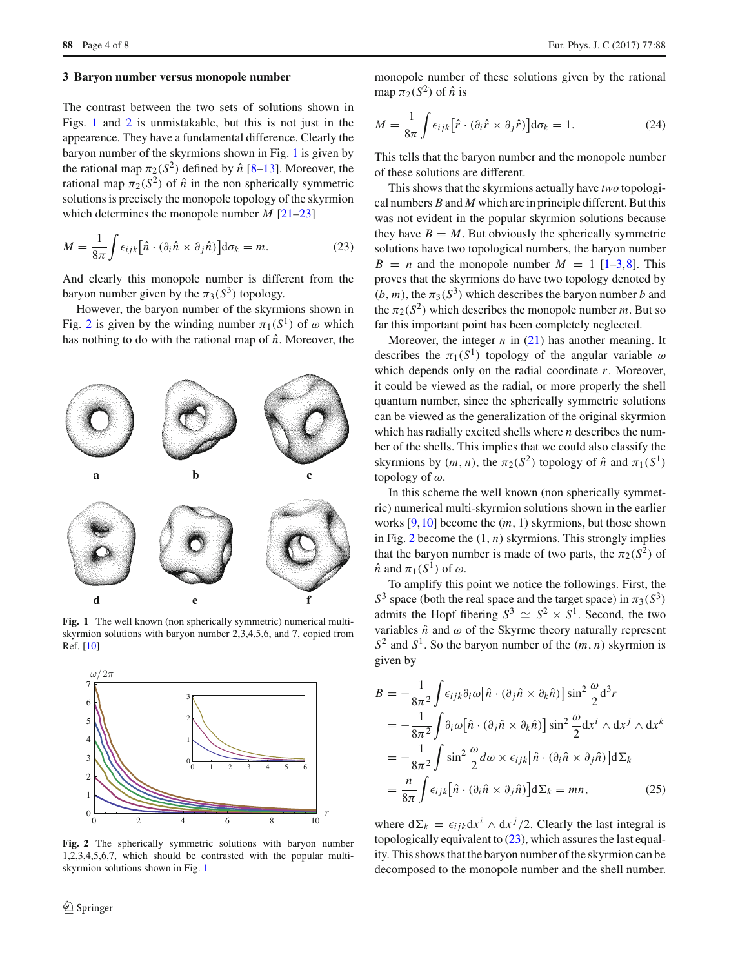$\overline{a}$ 

<span id="page-3-1"></span> $\mathbf d$ 

#### <span id="page-3-0"></span>**3 Baryon number versus monopole number**

The contrast between the two sets of solutions shown in Figs. [1](#page-3-1) and [2](#page-3-2) is unmistakable, but this is not just in the appearence. They have a fundamental difference. Clearly the baryon number of the skyrmions shown in Fig. [1](#page-3-1) is given by the rational map  $\pi_2(S^2)$  defined by  $\hat{n}$  [\[8](#page-7-4)[–13\]](#page-7-7). Moreover, the rational map  $\pi_2(S^2)$  of  $\hat{n}$  in the non spherically symmetric solutions is precisely the monopole topology of the skyrmion which determines the monopole number *M* [\[21](#page-7-14)[–23\]](#page-7-15)

<span id="page-3-3"></span>
$$
M = \frac{1}{8\pi} \int \epsilon_{ijk} [\hat{n} \cdot (\partial_i \hat{n} \times \partial_j \hat{n})] d\sigma_k = m.
$$
 (23)

And clearly this monopole number is different from the baryon number given by the  $\pi_3(S^3)$  topology.

However, the baryon number of the skyrmions shown in Fig. [2](#page-3-2) is given by the winding number  $\pi_1(S^1)$  of  $\omega$  which has nothing to do with the rational map of  $\hat{n}$ . Moreover, the

 $\mathbf b$ 

Fig. 1 The well known (non spherically symmetric) numerical multiskyrmion solutions with baryon number 2,3,4,5,6, and 7, copied from Ref. [\[10\]](#page-7-6)

 $\mathbf{e}$ 



<span id="page-3-2"></span>**Fig. 2** The spherically symmetric solutions with baryon number 1,2,3,4,5,6,7, which should be contrasted with the popular multiskyrmion solutions shown in Fig. [1](#page-3-1)

monopole number of these solutions given by the rational map  $\pi_2(S^2)$  of  $\hat{n}$  is

$$
M = \frac{1}{8\pi} \int \epsilon_{ijk} [\hat{r} \cdot (\partial_i \hat{r} \times \partial_j \hat{r})] d\sigma_k = 1.
$$
 (24)

This tells that the baryon number and the monopole number of these solutions are different.

This shows that the skyrmions actually have *two* topological numbers *B* and *M* which are in principle different. But this was not evident in the popular skyrmion solutions because they have  $B = M$ . But obviously the spherically symmetric solutions have two topological numbers, the baryon number  $B = n$  and the monopole number  $M = 1$  [\[1](#page-7-0)[–3,](#page-7-17)[8\]](#page-7-4). This proves that the skyrmions do have two topology denoted by  $(b, m)$ , the  $\pi_3(S^3)$  which describes the baryon number *b* and the  $\pi_2(S^2)$  which describes the monopole number *m*. But so far this important point has been completely neglected.

Moreover, the integer *n* in [\(21\)](#page-2-6) has another meaning. It describes the  $\pi_1(S^1)$  topology of the angular variable  $\omega$ which depends only on the radial coordinate *r*. Moreover, it could be viewed as the radial, or more properly the shell quantum number, since the spherically symmetric solutions can be viewed as the generalization of the original skyrmion which has radially excited shells where *n* describes the number of the shells. This implies that we could also classify the skyrmions by  $(m, n)$ , the  $\pi$ <sub>2</sub>(*S*<sup>2</sup>) topology of  $\hat{n}$  and  $\pi$ <sub>1</sub>(*S*<sup>1</sup>) topology of  $\omega$ .

In this scheme the well known (non spherically symmetric) numerical multi-skyrmion solutions shown in the earlier works [\[9](#page-7-5)[,10](#page-7-6)] become the (*m*, 1) skyrmions, but those shown in Fig. [2](#page-3-2) become the  $(1, n)$  skyrmions. This strongly implies that the baryon number is made of two parts, the  $\pi_2(S^2)$  of  $\hat{n}$  and  $\pi_1(S^1)$  of  $\omega$ .

To amplify this point we notice the followings. First, the  $S<sup>3</sup>$  space (both the real space and the target space) in  $\pi_3(S<sup>3</sup>)$ admits the Hopf fibering  $S^3 \simeq S^2 \times S^1$ . Second, the two variables  $\hat{n}$  and  $\omega$  of the Skyrme theory naturally represent  $S^2$  and  $S^1$ . So the baryon number of the  $(m, n)$  skyrmion is given by

$$
B = -\frac{1}{8\pi^2} \int \epsilon_{ijk} \partial_i \omega \left[ \hat{n} \cdot (\partial_j \hat{n} \times \partial_k \hat{n}) \right] \sin^2 \frac{\omega}{2} d^3 r
$$
  
\n
$$
= -\frac{1}{8\pi^2} \int \partial_i \omega \left[ \hat{n} \cdot (\partial_j \hat{n} \times \partial_k \hat{n}) \right] \sin^2 \frac{\omega}{2} dx^i \wedge dx^j \wedge dx^k
$$
  
\n
$$
= -\frac{1}{8\pi^2} \int \sin^2 \frac{\omega}{2} d\omega \times \epsilon_{ijk} \left[ \hat{n} \cdot (\partial_i \hat{n} \times \partial_j \hat{n}) \right] d\Sigma_k
$$
  
\n
$$
= \frac{n}{8\pi} \int \epsilon_{ijk} \left[ \hat{n} \cdot (\partial_i \hat{n} \times \partial_j \hat{n}) \right] d\Sigma_k = mn,
$$
 (25)

where  $d\Sigma_k = \epsilon_{ijk} dx^i \wedge dx^j/2$ . Clearly the last integral is topologically equivalent to [\(23\)](#page-3-3), which assures the last equality. This shows that the baryon number of the skyrmion can be decomposed to the monopole number and the shell number.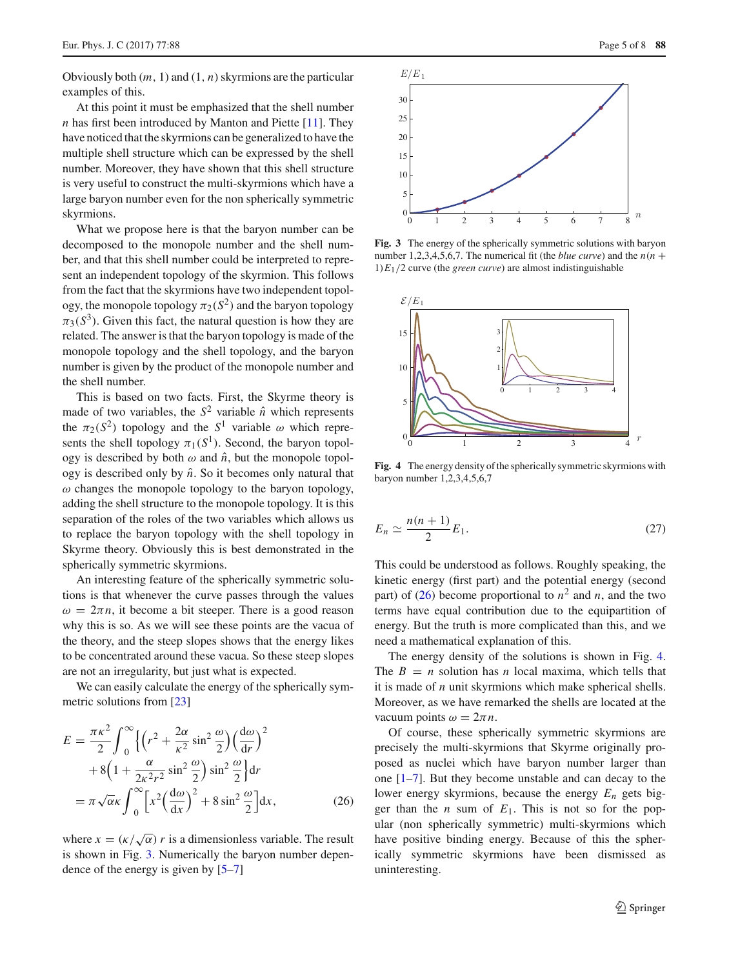Obviously both  $(m, 1)$  and  $(1, n)$  skyrmions are the particular examples of this.

At this point it must be emphasized that the shell number *n* has first been introduced by Manton and Piette [\[11\]](#page-7-18). They have noticed that the skyrmions can be generalized to have the multiple shell structure which can be expressed by the shell number. Moreover, they have shown that this shell structure is very useful to construct the multi-skyrmions which have a large baryon number even for the non spherically symmetric skyrmions.

What we propose here is that the baryon number can be decomposed to the monopole number and the shell number, and that this shell number could be interpreted to represent an independent topology of the skyrmion. This follows from the fact that the skyrmions have two independent topology, the monopole topology  $\pi_2(S^2)$  and the baryon topology  $\pi_3(S^3)$ . Given this fact, the natural question is how they are related. The answer is that the baryon topology is made of the monopole topology and the shell topology, and the baryon number is given by the product of the monopole number and the shell number.

This is based on two facts. First, the Skyrme theory is made of two variables, the  $S^2$  variable  $\hat{n}$  which represents the  $\pi_2(S^2)$  topology and the  $S^1$  variable  $\omega$  which represents the shell topology  $\pi_1(S^1)$ . Second, the baryon topology is described by both  $\omega$  and  $\hat{n}$ , but the monopole topology is described only by  $\hat{n}$ . So it becomes only natural that  $\omega$  changes the monopole topology to the baryon topology, adding the shell structure to the monopole topology. It is this separation of the roles of the two variables which allows us to replace the baryon topology with the shell topology in Skyrme theory. Obviously this is best demonstrated in the spherically symmetric skyrmions.

An interesting feature of the spherically symmetric solutions is that whenever the curve passes through the values  $\omega = 2\pi n$ , it become a bit steeper. There is a good reason why this is so. As we will see these points are the vacua of the theory, and the steep slopes shows that the energy likes to be concentrated around these vacua. So these steep slopes are not an irregularity, but just what is expected.

We can easily calculate the energy of the spherically symmetric solutions from [\[23\]](#page-7-15)

<span id="page-4-1"></span>
$$
E = \frac{\pi \kappa^2}{2} \int_0^\infty \left\{ \left( r^2 + \frac{2\alpha}{\kappa^2} \sin^2 \frac{\omega}{2} \right) \left( \frac{d\omega}{dr} \right)^2 + 8 \left( 1 + \frac{\alpha}{2\kappa^2 r^2} \sin^2 \frac{\omega}{2} \right) \sin^2 \frac{\omega}{2} \right\} dr
$$
  
=  $\pi \sqrt{\alpha} \kappa \int_0^\infty \left[ x^2 \left( \frac{d\omega}{dx} \right)^2 + 8 \sin^2 \frac{\omega}{2} \right] dx$ , (26)

where  $x = (\kappa/\sqrt{\alpha}) r$  is a dimensionless variable. The result is shown in Fig. [3.](#page-4-0) Numerically the baryon number dependence of the energy is given by [\[5](#page-7-2)[–7\]](#page-7-3)



<span id="page-4-0"></span>**Fig. 3** The energy of the spherically symmetric solutions with baryon number 1,2,3,4,5,6,7. The numerical fit (the *blue curve*) and the  $n(n + 1)$  $1)E_1/2$  curve (the *green curve*) are almost indistinguishable



<span id="page-4-2"></span>**Fig. 4** The energy density of the spherically symmetric skyrmions with baryon number 1,2,3,4,5,6,7

<span id="page-4-3"></span>
$$
E_n \simeq \frac{n(n+1)}{2} E_1. \tag{27}
$$

This could be understood as follows. Roughly speaking, the kinetic energy (first part) and the potential energy (second part) of [\(26\)](#page-4-1) become proportional to  $n^2$  and *n*, and the two terms have equal contribution due to the equipartition of energy. But the truth is more complicated than this, and we need a mathematical explanation of this.

The energy density of the solutions is shown in Fig. [4.](#page-4-2) The  $B = n$  solution has *n* local maxima, which tells that it is made of *n* unit skyrmions which make spherical shells. Moreover, as we have remarked the shells are located at the vacuum points  $\omega = 2\pi n$ .

Of course, these spherically symmetric skyrmions are precisely the multi-skyrmions that Skyrme originally proposed as nuclei which have baryon number larger than one [\[1](#page-7-0)[–7](#page-7-3)]. But they become unstable and can decay to the lower energy skyrmions, because the energy *En* gets bigger than the *n* sum of  $E_1$ . This is not so for the popular (non spherically symmetric) multi-skyrmions which have positive binding energy. Because of this the spherically symmetric skyrmions have been dismissed as uninteresting.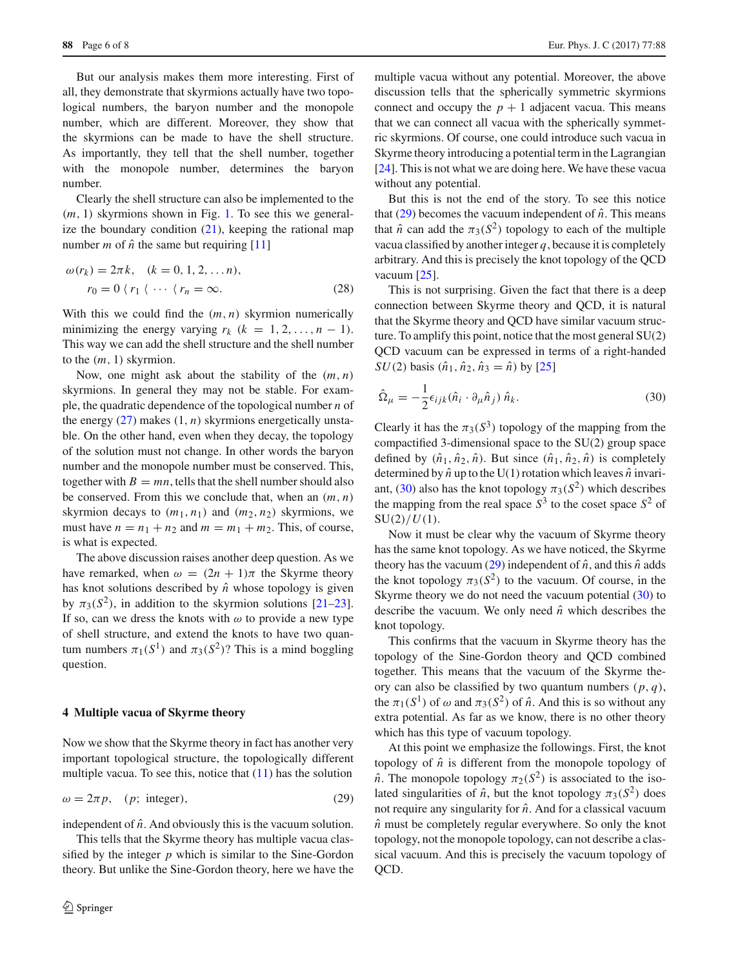But our analysis makes them more interesting. First of all, they demonstrate that skyrmions actually have two topological numbers, the baryon number and the monopole number, which are different. Moreover, they show that the skyrmions can be made to have the shell structure. As importantly, they tell that the shell number, together with the monopole number, determines the baryon number.

Clearly the shell structure can also be implemented to the (*m*, 1) skyrmions shown in Fig. [1.](#page-3-1) To see this we generalize the boundary condition  $(21)$ , keeping the rational map number *m* of  $\hat{n}$  the same but requiring [\[11\]](#page-7-18)

$$
\omega(r_k) = 2\pi k, \quad (k = 0, 1, 2, \dots n),
$$
  

$$
r_0 = 0 \ (r_1 \ (\cdots \ (r_n = \infty. \tag{28})
$$

With this we could find the  $(m, n)$  skyrmion numerically minimizing the energy varying  $r_k$  ( $k = 1, 2, ..., n - 1$ ). This way we can add the shell structure and the shell number to the (*m*, 1) skyrmion.

Now, one might ask about the stability of the (*m*, *n*) skyrmions. In general they may not be stable. For example, the quadratic dependence of the topological number *n* of the energy  $(27)$  makes  $(1, n)$  skyrmions energetically unstable. On the other hand, even when they decay, the topology of the solution must not change. In other words the baryon number and the monopole number must be conserved. This, together with  $B = mn$ , tells that the shell number should also be conserved. From this we conclude that, when an (*m*, *n*) skyrmion decays to  $(m_1, n_1)$  and  $(m_2, n_2)$  skyrmions, we must have  $n = n_1 + n_2$  and  $m = m_1 + m_2$ . This, of course, is what is expected.

The above discussion raises another deep question. As we have remarked, when  $\omega = (2n + 1)\pi$  the Skyrme theory has knot solutions described by  $\hat{n}$  whose topology is given by  $\pi_3(S^2)$ , in addition to the skyrmion solutions [\[21](#page-7-14)[–23](#page-7-15)]. If so, can we dress the knots with  $\omega$  to provide a new type of shell structure, and extend the knots to have two quantum numbers  $\pi_1(S^1)$  and  $\pi_3(S^2)$ ? This is a mind boggling question.

## <span id="page-5-0"></span>**4 Multiple vacua of Skyrme theory**

Now we show that the Skyrme theory in fact has another very important topological structure, the topologically different multiple vacua. To see this, notice that  $(11)$  has the solution

<span id="page-5-1"></span>
$$
\omega = 2\pi p, \quad (p; \text{ integer}), \tag{29}
$$

independent of  $\hat{n}$ . And obviously this is the vacuum solution.

This tells that the Skyrme theory has multiple vacua classified by the integer  $p$  which is similar to the Sine-Gordon theory. But unlike the Sine-Gordon theory, here we have the multiple vacua without any potential. Moreover, the above discussion tells that the spherically symmetric skyrmions connect and occupy the  $p + 1$  adjacent vacua. This means that we can connect all vacua with the spherically symmetric skyrmions. Of course, one could introduce such vacua in Skyrme theory introducing a potential term in the Lagrangian [\[24](#page-7-19)]. This is not what we are doing here. We have these vacua without any potential.

But this is not the end of the story. To see this notice that  $(29)$  becomes the vacuum independent of  $\hat{n}$ . This means that  $\hat{n}$  can add the  $\pi_3(S^2)$  topology to each of the multiple vacua classified by another integer *q*, because it is completely arbitrary. And this is precisely the knot topology of the QCD vacuum [\[25](#page-7-20)].

This is not surprising. Given the fact that there is a deep connection between Skyrme theory and QCD, it is natural that the Skyrme theory and QCD have similar vacuum structure. To amplify this point, notice that the most general SU(2) QCD vacuum can be expressed in terms of a right-handed *SU*(2) basis  $(\hat{n}_1, \hat{n}_2, \hat{n}_3 = \hat{n})$  by [\[25](#page-7-20)]

<span id="page-5-2"></span>
$$
\hat{\Omega}_{\mu} = -\frac{1}{2} \epsilon_{ijk} (\hat{n}_i \cdot \partial_{\mu} \hat{n}_j) \hat{n}_k.
$$
\n(30)

Clearly it has the  $\pi_3(S^3)$  topology of the mapping from the compactified 3-dimensional space to the SU(2) group space defined by  $(\hat{n}_1, \hat{n}_2, \hat{n})$ . But since  $(\hat{n}_1, \hat{n}_2, \hat{n})$  is completely determined by  $\hat{n}$  up to the U(1) rotation which leaves  $\hat{n}$  invari-ant, [\(30\)](#page-5-2) also has the knot topology  $\pi_3(S^2)$  which describes the mapping from the real space  $S^3$  to the coset space  $S^2$  of  $SU(2)/U(1)$ .

Now it must be clear why the vacuum of Skyrme theory has the same knot topology. As we have noticed, the Skyrme theory has the vacuum [\(29\)](#page-5-1) independent of  $\hat{n}$ , and this  $\hat{n}$  adds the knot topology  $\pi_3(S^2)$  to the vacuum. Of course, in the Skyrme theory we do not need the vacuum potential [\(30\)](#page-5-2) to describe the vacuum. We only need  $\hat{n}$  which describes the knot topology.

This confirms that the vacuum in Skyrme theory has the topology of the Sine-Gordon theory and QCD combined together. This means that the vacuum of the Skyrme theory can also be classified by two quantum numbers  $(p, q)$ , the  $\pi_1(S^1)$  of  $\omega$  and  $\pi_3(S^2)$  of  $\hat{n}$ . And this is so without any extra potential. As far as we know, there is no other theory which has this type of vacuum topology.

At this point we emphasize the followings. First, the knot topology of  $\hat{n}$  is different from the monopole topology of  $\hat{n}$ . The monopole topology  $\pi_2(S^2)$  is associated to the isolated singularities of  $\hat{n}$ , but the knot topology  $\pi_3(S^2)$  does not require any singularity for  $\hat{n}$ . And for a classical vacuum  $\hat{n}$  must be completely regular everywhere. So only the knot topology, not the monopole topology, can not describe a classical vacuum. And this is precisely the vacuum topology of QCD.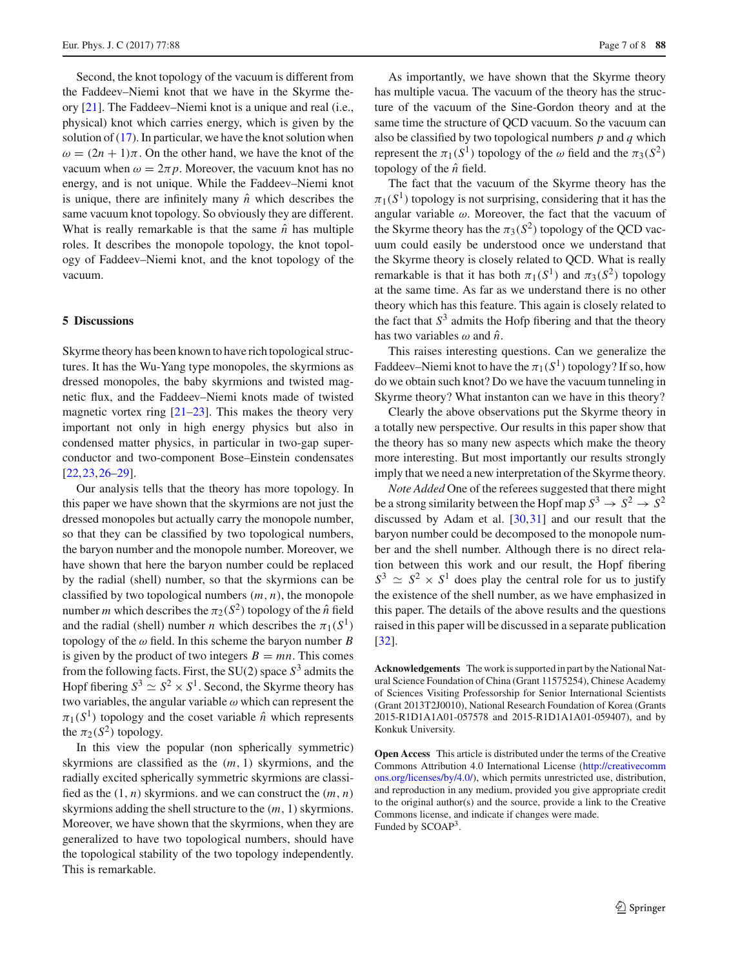Second, the knot topology of the vacuum is different from the Faddeev–Niemi knot that we have in the Skyrme theory [\[21\]](#page-7-14). The Faddeev–Niemi knot is a unique and real (i.e., physical) knot which carries energy, which is given by the solution of  $(17)$ . In particular, we have the knot solution when  $\omega = (2n + 1)\pi$ . On the other hand, we have the knot of the vacuum when  $\omega = 2\pi p$ . Moreover, the vacuum knot has no energy, and is not unique. While the Faddeev–Niemi knot is unique, there are infinitely many  $\hat{n}$  which describes the same vacuum knot topology. So obviously they are different. What is really remarkable is that the same  $\hat{n}$  has multiple roles. It describes the monopole topology, the knot topology of Faddeev–Niemi knot, and the knot topology of the vacuum.

#### <span id="page-6-0"></span>**5 Discussions**

Skyrme theory has been known to have rich topological structures. It has the Wu-Yang type monopoles, the skyrmions as dressed monopoles, the baby skyrmions and twisted magnetic flux, and the Faddeev–Niemi knots made of twisted magnetic vortex ring  $[21-23]$  $[21-23]$ . This makes the theory very important not only in high energy physics but also in condensed matter physics, in particular in two-gap superconductor and two-component Bose–Einstein condensates [\[22](#page-7-16),[23,](#page-7-15)[26](#page-7-21)[–29\]](#page-7-22).

Our analysis tells that the theory has more topology. In this paper we have shown that the skyrmions are not just the dressed monopoles but actually carry the monopole number, so that they can be classified by two topological numbers, the baryon number and the monopole number. Moreover, we have shown that here the baryon number could be replaced by the radial (shell) number, so that the skyrmions can be classified by two topological numbers (*m*, *n*), the monopole number *m* which describes the  $\pi_2(S^2)$  topology of the  $\hat{n}$  field and the radial (shell) number *n* which describes the  $\pi_1(S^1)$ topology of the  $\omega$  field. In this scheme the baryon number *B* is given by the product of two integers  $B = mn$ . This comes from the following facts. First, the  $SU(2)$  space  $S<sup>3</sup>$  admits the Hopf fibering  $S^3 \simeq S^2 \times S^1$ . Second, the Skyrme theory has two variables, the angular variable  $\omega$  which can represent the  $\pi_1(S^1)$  topology and the coset variable  $\hat{n}$  which represents the  $\pi_2(S^2)$  topology.

In this view the popular (non spherically symmetric) skyrmions are classified as the (*m*, 1) skyrmions, and the radially excited spherically symmetric skyrmions are classified as the (1, *n*) skyrmions. and we can construct the (*m*, *n*) skyrmions adding the shell structure to the  $(m, 1)$  skyrmions. Moreover, we have shown that the skyrmions, when they are generalized to have two topological numbers, should have the topological stability of the two topology independently. This is remarkable.

As importantly, we have shown that the Skyrme theory has multiple vacua. The vacuum of the theory has the structure of the vacuum of the Sine-Gordon theory and at the same time the structure of QCD vacuum. So the vacuum can also be classified by two topological numbers *p* and *q* which represent the  $\pi_1(S^1)$  topology of the  $\omega$  field and the  $\pi_3(S^2)$ topology of the  $\hat{n}$  field.

The fact that the vacuum of the Skyrme theory has the  $\pi_1(S^1)$  topology is not surprising, considering that it has the angular variable  $\omega$ . Moreover, the fact that the vacuum of the Skyrme theory has the  $\pi_3(S^2)$  topology of the OCD vacuum could easily be understood once we understand that the Skyrme theory is closely related to QCD. What is really remarkable is that it has both  $\pi_1(S^1)$  and  $\pi_3(S^2)$  topology at the same time. As far as we understand there is no other theory which has this feature. This again is closely related to the fact that  $S<sup>3</sup>$  admits the Hofp fibering and that the theory has two variables  $\omega$  and  $\hat{n}$ .

This raises interesting questions. Can we generalize the Faddeev–Niemi knot to have the  $\pi_1(S^1)$  topology? If so, how do we obtain such knot? Do we have the vacuum tunneling in Skyrme theory? What instanton can we have in this theory?

Clearly the above observations put the Skyrme theory in a totally new perspective. Our results in this paper show that the theory has so many new aspects which make the theory more interesting. But most importantly our results strongly imply that we need a new interpretation of the Skyrme theory.

*Note Added* One of the referees suggested that there might be a strong similarity between the Hopf map  $S^3 \rightarrow S^2 \rightarrow S^2$ discussed by Adam et al. [\[30](#page-7-23)[,31](#page-7-24)] and our result that the baryon number could be decomposed to the monopole number and the shell number. Although there is no direct relation between this work and our result, the Hopf fibering  $S^3 \simeq S^2 \times S^1$  does play the central role for us to justify the existence of the shell number, as we have emphasized in this paper. The details of the above results and the questions raised in this paper will be discussed in a separate publication [\[32](#page-7-25)].

**Acknowledgements** The work is supported in part by the National Natural Science Foundation of China (Grant 11575254), Chinese Academy of Sciences Visiting Professorship for Senior International Scientists (Grant 2013T2J0010), National Research Foundation of Korea (Grants 2015-R1D1A1A01-057578 and 2015-R1D1A1A01-059407), and by Konkuk University.

**Open Access** This article is distributed under the terms of the Creative Commons Attribution 4.0 International License [\(http://creativecomm](http://creativecommons.org/licenses/by/4.0/) [ons.org/licenses/by/4.0/\)](http://creativecommons.org/licenses/by/4.0/), which permits unrestricted use, distribution, and reproduction in any medium, provided you give appropriate credit to the original author(s) and the source, provide a link to the Creative Commons license, and indicate if changes were made. Funded by SCOAP3.